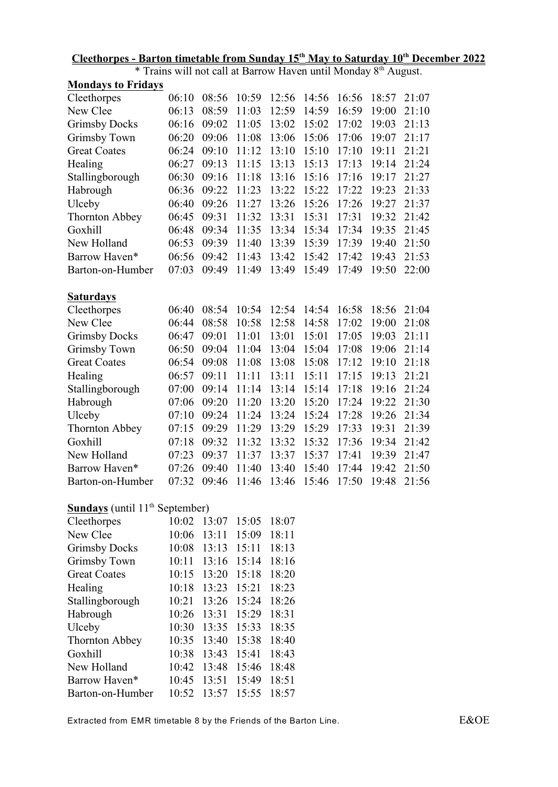## **Cleethorpes - Barton timetable from Sunday 15<sup>th</sup> May to Saturday 10<sup>th</sup> December 2022**

\* Trains will not call at Barrow Haven until Monday 8<sup>th</sup> August.

| <b>Mondays to Fridays</b>                         |       |                   |       |       |       |       |       |       |
|---------------------------------------------------|-------|-------------------|-------|-------|-------|-------|-------|-------|
| Cleethorpes                                       | 06:10 | 08:56             | 10:59 | 12:56 | 14:56 | 16:56 | 18:57 | 21:07 |
| New Clee                                          | 06:13 | 08:59             | 11:03 | 12:59 | 14:59 | 16:59 | 19:00 | 21:10 |
| <b>Grimsby Docks</b>                              | 06:16 | 09:02             | 11:05 | 13:02 | 15:02 | 17:02 | 19:03 | 21:13 |
| <b>Grimsby Town</b>                               | 06:20 | 09:06             | 11:08 | 13:06 | 15:06 | 17:06 | 19:07 | 21:17 |
| <b>Great Coates</b>                               | 06:24 | 09:10             | 11:12 | 13:10 | 15:10 | 17:10 | 19:11 | 21:21 |
| Healing                                           | 06:27 | 09:13             | 11:15 | 13:13 | 15:13 | 17:13 | 19:14 | 21:24 |
| Stallingborough                                   | 06:30 | 09:16             | 11:18 | 13:16 | 15:16 | 17:16 | 19:17 | 21:27 |
| Habrough                                          | 06:36 | 09:22             | 11:23 | 13:22 | 15:22 | 17:22 | 19:23 | 21:33 |
| Ulceby                                            | 06:40 | 09:26             | 11:27 | 13:26 | 15:26 | 17:26 | 19:27 | 21:37 |
| <b>Thornton Abbey</b>                             | 06:45 | 09:31             | 11:32 | 13:31 | 15:31 | 17:31 | 19:32 | 21:42 |
| Goxhill                                           | 06:48 | 09:34             | 11:35 | 13:34 | 15:34 | 17:34 | 19:35 | 21:45 |
| New Holland                                       | 06:53 | 09:39             | 11:40 | 13:39 | 15:39 | 17:39 | 19:40 | 21:50 |
| Barrow Haven*                                     | 06:56 | 09:42             | 11:43 | 13:42 | 15:42 | 17:42 | 19:43 | 21:53 |
| Barton-on-Humber                                  | 07:03 | 09:49             | 11:49 | 13:49 | 15:49 | 17:49 | 19:50 | 22:00 |
| <b>Saturdays</b>                                  |       |                   |       |       |       |       |       |       |
| Cleethorpes                                       | 06:40 | 08:54             | 10:54 | 12:54 | 14:54 | 16:58 | 18:56 | 21:04 |
| New Clee                                          | 06:44 | 08:58             | 10:58 | 12:58 | 14:58 | 17:02 | 19:00 | 21:08 |
| <b>Grimsby Docks</b>                              | 06:47 | 09:01             | 11:01 | 13:01 | 15:01 | 17:05 | 19:03 | 21:11 |
| Grimsby Town                                      | 06:50 | 09:04             | 11:04 | 13:04 | 15:04 | 17:08 | 19:06 | 21:14 |
| <b>Great Coates</b>                               | 06:54 | 09:08             | 11:08 | 13:08 | 15:08 | 17:12 | 19:10 | 21:18 |
| Healing                                           | 06:57 | 09:11             | 11:11 | 13:11 | 15:11 | 17:15 | 19:13 | 21:21 |
| Stallingborough                                   | 07:00 | 09:14             | 11:14 | 13:14 | 15:14 | 17:18 | 19:16 | 21:24 |
| Habrough                                          | 07:06 | 09:20             | 11:20 | 13:20 | 15:20 | 17:24 | 19:22 | 21:30 |
| Ulceby                                            | 07:10 | 09:24             | 11:24 | 13:24 | 15:24 | 17:28 | 19:26 | 21:34 |
| <b>Thornton Abbey</b>                             | 07:15 | 09:29             | 11:29 | 13:29 | 15:29 | 17:33 | 19:31 | 21:39 |
| Goxhill                                           | 07:18 | 09:32             | 11:32 | 13:32 | 15:32 | 17:36 | 19:34 | 21:42 |
| New Holland                                       | 07:23 | 09:37             | 11:37 | 13:37 | 15:37 | 17:41 | 19:39 | 21:47 |
| Barrow Haven*                                     | 07:26 | 09:40             | 11:40 | 13:40 | 15:40 | 17:44 | 19:42 | 21:50 |
| Barton-on-Humber                                  | 07:32 | 09:46             | 11:46 | 13:46 | 15:46 | 17:50 | 19:48 | 21:56 |
| <b>Sundays</b> (until 11 <sup>th</sup> September) |       |                   |       |       |       |       |       |       |
| Cleethorpes                                       |       | 10:02 13:07 15:05 |       | 18:07 |       |       |       |       |
| New Clee                                          | 10:06 | 13:11             | 15:09 | 18:11 |       |       |       |       |
| <b>Grimsby Docks</b>                              | 10:08 | 13:13             | 15:11 | 18:13 |       |       |       |       |
| Grimsby Town                                      | 10:11 | 13:16             | 15:14 | 18:16 |       |       |       |       |
| <b>Great Coates</b>                               | 10:15 | 13:20             | 15:18 | 18:20 |       |       |       |       |
| Healing                                           | 10:18 | 13:23             | 15:21 | 18:23 |       |       |       |       |
| Stallingborough                                   | 10:21 | 13:26             | 15:24 | 18:26 |       |       |       |       |
| Habrough                                          | 10:26 | 13:31             | 15:29 | 18:31 |       |       |       |       |
| Ulceby                                            | 10:30 | 13:35             | 15:33 | 18:35 |       |       |       |       |
| <b>Thornton Abbey</b>                             | 10:35 | 13:40             | 15:38 | 18:40 |       |       |       |       |
| Goxhill                                           | 10:38 | 13:43             | 15:41 | 18:43 |       |       |       |       |
| New Holland                                       | 10:42 | 13:48             | 15:46 | 18:48 |       |       |       |       |
| Barrow Haven*                                     | 10:45 | 13:51             | 15:49 | 18:51 |       |       |       |       |
| Barton-on-Humber                                  | 10:52 | 13:57             | 15:55 | 18:57 |       |       |       |       |

Extracted from EMR timetable 8 by the Friends of the Barton Line. <br>E&OE